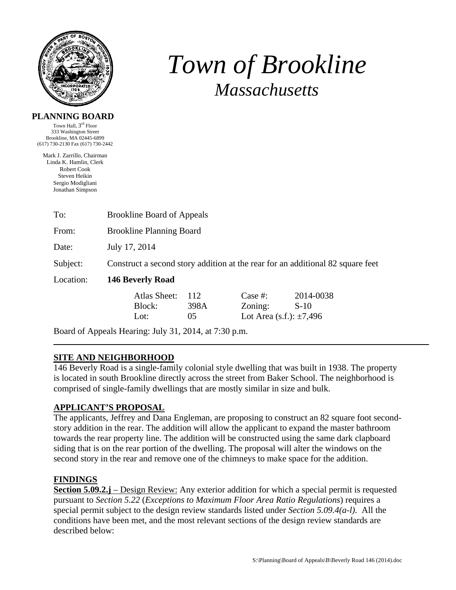

# *Town of Brookline Massachusetts*

#### **PLANNING BOARD**

Town Hall, 3rd Floor 333 Washington Street Brookline, MA 02445-6899 (617) 730-2130 Fax (617) 730-2442

Mark J. Zarrillo, Chairman Linda K. Hamlin, Clerk Robert Cook Steven Heikin Sergio Modigliani Jonathan Simpson

| To:       | <b>Brookline Board of Appeals</b>                                              |      |                              |           |  |  |
|-----------|--------------------------------------------------------------------------------|------|------------------------------|-----------|--|--|
| From:     | <b>Brookline Planning Board</b>                                                |      |                              |           |  |  |
| Date:     | July 17, 2014                                                                  |      |                              |           |  |  |
| Subject:  | Construct a second story addition at the rear for an additional 82 square feet |      |                              |           |  |  |
| Location: | 146 Beverly Road                                                               |      |                              |           |  |  |
|           | Atlas Sheet:                                                                   | 112  | Case $#$ :                   | 2014-0038 |  |  |
|           | Block:                                                                         | 398A | Zoning:                      | $S-10$    |  |  |
|           | Lot:                                                                           | 05   | Lot Area (s.f.): $\pm 7,496$ |           |  |  |

Board of Appeals Hearing: July 31, 2014, at 7:30 p.m.

# **SITE AND NEIGHBORHOOD**

146 Beverly Road is a single-family colonial style dwelling that was built in 1938. The property is located in south Brookline directly across the street from Baker School. The neighborhood is comprised of single-family dwellings that are mostly similar in size and bulk.

# **APPLICANT'S PROPOSAL**

The applicants, Jeffrey and Dana Engleman, are proposing to construct an 82 square foot secondstory addition in the rear. The addition will allow the applicant to expand the master bathroom towards the rear property line. The addition will be constructed using the same dark clapboard siding that is on the rear portion of the dwelling. The proposal will alter the windows on the second story in the rear and remove one of the chimneys to make space for the addition.

# **FINDINGS**

**Section 5.09.2.j** – Design Review: Any exterior addition for which a special permit is requested pursuant to *Section 5.22* (*Exceptions to Maximum Floor Area Ratio Regulations*) requires a special permit subject to the design review standards listed under *Section 5.09.4(a-l)*. All the conditions have been met, and the most relevant sections of the design review standards are described below: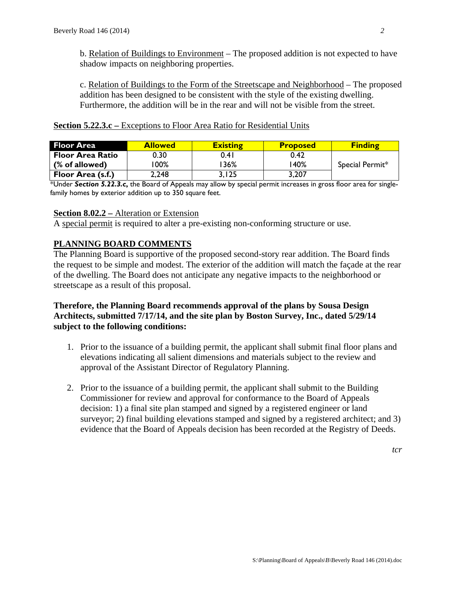b. Relation of Buildings to Environment – The proposed addition is not expected to have shadow impacts on neighboring properties.

c. Relation of Buildings to the Form of the Streetscape and Neighborhood – The proposed addition has been designed to be consistent with the style of the existing dwelling. Furthermore, the addition will be in the rear and will not be visible from the street.

| <b>Section 5.22.3.c</b> – Exceptions to Floor Area Ratio for Residential Units |  |  |  |
|--------------------------------------------------------------------------------|--|--|--|
|--------------------------------------------------------------------------------|--|--|--|

| <b>Floor Area</b>        | <b>Allowed</b> | <b>Existing</b> | <b>Proposed</b> | <b>Finding</b>  |
|--------------------------|----------------|-----------------|-----------------|-----------------|
| <b>Floor Area Ratio</b>  | 0.30           | 0.4 I           | 0.42            |                 |
| (% of allowed)           | 00% ا          | $36\%$          | 140%            | Special Permit* |
| <b>Floor Area (s.f.)</b> | 2,248          | 3.I25           | 3,207           |                 |

\*Under *Section 5.22.3.c***,** the Board of Appeals may allow by special permit increases in gross floor area for singlefamily homes by exterior addition up to 350 square feet.

#### **Section 8.02.2 –** Alteration or Extension

A special permit is required to alter a pre-existing non-conforming structure or use.

### **PLANNING BOARD COMMENTS**

The Planning Board is supportive of the proposed second-story rear addition. The Board finds the request to be simple and modest. The exterior of the addition will match the façade at the rear of the dwelling. The Board does not anticipate any negative impacts to the neighborhood or streetscape as a result of this proposal.

### **Therefore, the Planning Board recommends approval of the plans by Sousa Design Architects, submitted 7/17/14, and the site plan by Boston Survey, Inc., dated 5/29/14 subject to the following conditions:**

- 1. Prior to the issuance of a building permit, the applicant shall submit final floor plans and elevations indicating all salient dimensions and materials subject to the review and approval of the Assistant Director of Regulatory Planning.
- 2. Prior to the issuance of a building permit, the applicant shall submit to the Building Commissioner for review and approval for conformance to the Board of Appeals decision: 1) a final site plan stamped and signed by a registered engineer or land surveyor; 2) final building elevations stamped and signed by a registered architect; and 3) evidence that the Board of Appeals decision has been recorded at the Registry of Deeds.